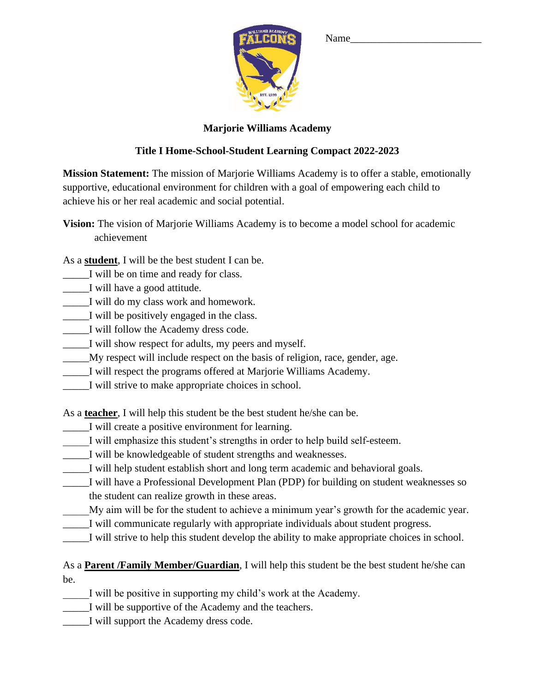

## Name\_\_\_\_\_\_\_\_\_\_\_\_\_\_\_\_\_\_\_\_\_\_\_\_\_

## **Marjorie Williams Academy**

## **Title I Home-School-Student Learning Compact 2022-2023**

**Mission Statement:** The mission of Marjorie Williams Academy is to offer a stable, emotionally supportive, educational environment for children with a goal of empowering each child to achieve his or her real academic and social potential.

**Vision:** The vision of Marjorie Williams Academy is to become a model school for academic achievement

As a **student**, I will be the best student I can be.

- \_\_\_\_\_I will be on time and ready for class.
- \_\_\_\_\_I will have a good attitude.
- \_\_\_\_\_I will do my class work and homework.
- \_\_\_\_\_I will be positively engaged in the class.
- \_\_\_\_\_I will follow the Academy dress code.
- \_\_\_\_\_I will show respect for adults, my peers and myself.
- \_\_\_\_\_My respect will include respect on the basis of religion, race, gender, age.
- I will respect the programs offered at Marjorie Williams Academy.
- \_\_\_\_\_I will strive to make appropriate choices in school.

As a **teacher**, I will help this student be the best student he/she can be.

- \_\_\_\_\_I will create a positive environment for learning.
- I will emphasize this student's strengths in order to help build self-esteem.
- \_\_\_\_\_I will be knowledgeable of student strengths and weaknesses.
- \_\_\_\_\_I will help student establish short and long term academic and behavioral goals.
- \_\_\_\_\_I will have a Professional Development Plan (PDP) for building on student weaknesses so the student can realize growth in these areas.
- My aim will be for the student to achieve a minimum year's growth for the academic year.
- \_\_\_\_\_I will communicate regularly with appropriate individuals about student progress.
- \_\_\_\_\_I will strive to help this student develop the ability to make appropriate choices in school.

As a **Parent /Family Member/Guardian**, I will help this student be the best student he/she can be.

I will be positive in supporting my child's work at the Academy.

\_\_\_\_\_I will be supportive of the Academy and the teachers.

\_\_\_\_\_I will support the Academy dress code.